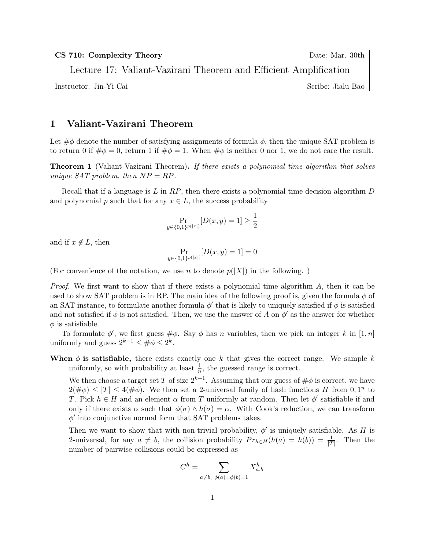CS 710: Complexity Theory Date: Mar. 30th

Lecture 17: Valiant-Vazirani Theorem and Efficient Amplification

Instructor: Jin-Yi Cai Scribe: Jialu Bao

## 1 Valiant-Vazirani Theorem

Let  $\#\phi$  denote the number of satisfying assignments of formula  $\phi$ , then the unique SAT problem is to return 0 if  $\#\phi = 0$ , return 1 if  $\#\phi = 1$ . When  $\#\phi$  is neither 0 nor 1, we do not care the result.

**Theorem 1** (Valiant-Vazirani Theorem). If there exists a polynomial time algorithm that solves unique SAT problem, then  $NP = RP$ .

Recall that if a language is  $L$  in  $RP$ , then there exists a polynomial time decision algorithm  $D$ and polynomial p such that for any  $x \in L$ , the success probability

$$
\Pr_{y \in \{0,1\}^{p(|x|)}} [D(x,y) = 1] \ge \frac{1}{2}
$$

and if  $x \notin L$ , then

$$
\Pr_{y\in\{0,1\}^{p(|x|)}}[D(x,y)=1]=0
$$

(For convenience of the notation, we use n to denote  $p(|X|)$  in the following.)

*Proof.* We first want to show that if there exists a polynomial time algorithm  $A$ , then it can be used to show SAT problem is in RP. The main idea of the following proof is, given the formula  $\phi$  of an SAT instance, to formulate another formula  $\phi'$  that is likely to uniquely satisfied if  $\phi$  is satisfied and not satisfied if  $\phi$  is not satisfied. Then, we use the answer of A on  $\phi'$  as the answer for whether  $\phi$  is satisfiable.

To formulate  $\phi'$ , we first guess  $\#\phi$ . Say  $\phi$  has n variables, then we pick an integer k in [1, n] uniformly and guess  $2^{k-1} \leq \#\phi \leq 2^k$ .

When  $\phi$  is satisfiable, there exists exactly one k that gives the correct range. We sample k uniformly, so with probability at least  $\frac{1}{n}$ , the guessed range is correct.

We then choose a target set T of size  $2^{k+1}$ . Assuming that our guess of  $\#\phi$  is correct, we have  $2(\#\phi) \leq |T| \leq 4(\#\phi)$ . We then set a 2-universal family of hash functions H from 0, 1<sup>n</sup> to T. Pick  $h \in H$  and an element  $\alpha$  from T uniformly at random. Then let  $\phi'$  satisfiable if and only if there exists  $\alpha$  such that  $\phi(\sigma) \wedge h(\sigma) = \alpha$ . With Cook's reduction, we can transform  $\phi'$  into conjunctive normal form that SAT problems takes.

Then we want to show that with non-trivial probability,  $\phi'$  is uniquely satisfiable. As H is 2-universal, for any  $a \neq b$ , the collision probability  $Pr_{h \in H}(h(a) = h(b)) = \frac{1}{|T|}$ . Then the number of pairwise collisions could be expressed as

$$
C^h = \sum_{a \neq b, \phi(a) = \phi(b) = 1} X_{a,b}^h
$$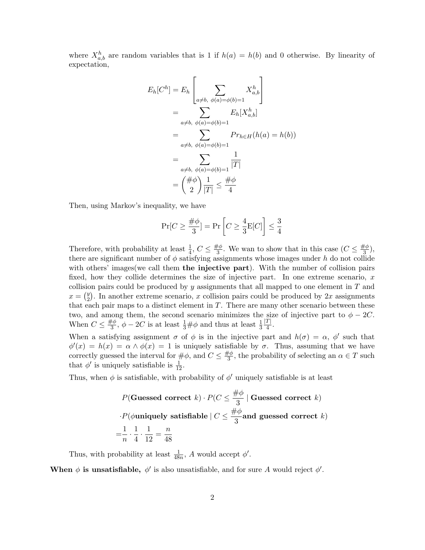where  $X_{a,b}^h$  are random variables that is 1 if  $h(a) = h(b)$  and 0 otherwise. By linearity of expectation,

$$
E_h[C^h] = E_h \left[ \sum_{a \neq b, \phi(a) = \phi(b) = 1} X_{a,b}^h \right]
$$
  
= 
$$
\sum_{a \neq b, \phi(a) = \phi(b) = 1} E_h[X_{a,b}^h]
$$
  
= 
$$
\sum_{a \neq b, \phi(a) = \phi(b) = 1} Pr_{h \in H}(h(a) = h(b))
$$
  
= 
$$
\sum_{a \neq b, \phi(a) = \phi(b) = 1} \frac{1}{|T|}
$$
  
= 
$$
\left( \frac{\# \phi}{2} \right) \frac{1}{|T|} \le \frac{\# \phi}{4}
$$

Then, using Markov's inequality, we have

$$
\Pr[C \ge \frac{\#\phi}{3}] = \Pr\left[C \ge \frac{4}{3}E[C]\right] \le \frac{3}{4}
$$

Therefore, with probability at least  $\frac{1}{4}$ ,  $C \leq \frac{\#\phi}{3}$  $\frac{\cancel{+}\phi}{3}$ . We wan to show that in this case  $(C \leq \frac{\cancel{+}\phi}{3})$  $\frac{\epsilon \phi}{3}$ ), there are significant number of  $\phi$  satisfying assignments whose images under h do not collide with others' images (we call them the injective part). With the number of collision pairs fixed, how they collide determines the size of injective part. In one extreme scenario,  $x$ collision pairs could be produced by  $y$  assignments that all mapped to one element in  $T$  and  $x = \begin{pmatrix} y \\ 2 \end{pmatrix}$  $_{2}^{y}$ ). In another extreme scenario, x collision pairs could be produced by 2x assignments that each pair maps to a distinct element in  $T$ . There are many other scenario between these two, and among them, the second scenario minimizes the size of injective part to  $\phi - 2C$ . When  $C \leq \frac{\#\phi}{3}$  $\frac{\partial^2 \phi}{\partial 3}$ ,  $\phi - 2C$  is at least  $\frac{1}{3}$  # $\phi$  and thus at least  $\frac{1}{3}$  $|T|$ 4 .

When a satisfying assignment  $\sigma$  of  $\phi$  is in the injective part and  $h(\sigma) = \alpha$ ,  $\phi'$  such that  $\phi'(x) = h(x) = \alpha \wedge \phi(x) = 1$  is uniquely satisfiable by  $\sigma$ . Thus, assuming that we have correctly guessed the interval for  $\#\phi$ , and  $C \leq \frac{\#\phi}{3}$  $\frac{\partial^2 \varphi}{\partial x^3}$ , the probability of selecting an  $\alpha \in T$  such that  $\phi'$  is uniquely satisfiable is  $\frac{1}{12}$ .

Thus, when  $\phi$  is satisfiable, with probability of  $\phi'$  uniquely satisfiable is at least

$$
P(\text{Gussed correct } k) \cdot P(C \le \frac{\# \phi}{3} \mid \text{Gussed correct } k)
$$

$$
\cdot P(\phi \text{uniquely satisfiable} \mid C \le \frac{\# \phi}{3} \text{and guessed correct } k)
$$

$$
= \frac{1}{n} \cdot \frac{1}{4} \cdot \frac{1}{12} = \frac{n}{48}
$$

Thus, with probability at least  $\frac{1}{48n}$ , A would accept  $\phi'$ .

When  $\phi$  is unsatisfiable,  $\phi'$  is also unsatisfiable, and for sure A would reject  $\phi'$ .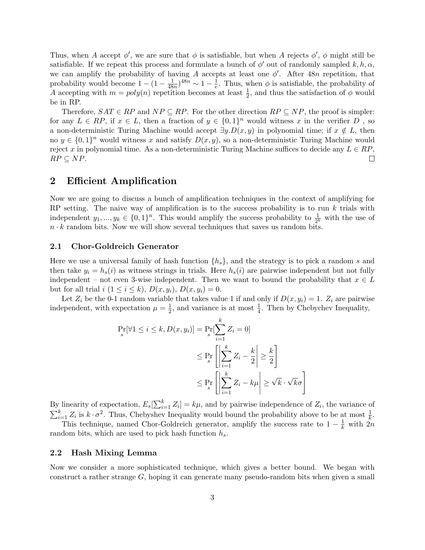Thus, when A accept  $\phi'$ , we are sure that  $\phi$  is satisfiable, but when A rejects  $\phi'$ ,  $\phi$  might still be satisfiable. If we repeat this process and formulate a bunch of  $\phi'$  out of randomly sampled  $k, h, \alpha$ , we can amplify the probability of having A accepts at least one  $\phi'$ . After 48n repetition, that probability would become  $1 - (1 - \frac{1}{48})$  $\frac{1}{48n})^{48n} \sim 1 - \frac{1}{e}$  $\frac{1}{e}$ . Thus, when  $\phi$  is satisfiable, the probability of A accepting with  $m = poly(n)$  repetition becomes at least  $\frac{1}{2}$ , and thus the satisfaction of  $\phi$  would be in RP.

Therefore,  $SAT \in RP$  and  $NP \subseteq RP$ . For the other direction  $RP \subseteq NP$ , the proof is simpler: for any  $L \in RP$ , if  $x \in L$ , then a fraction of  $y \in \{0,1\}^n$  would witness x in the verifier D, so a non-deterministic Turing Machine would accept  $\exists y.D(x, y)$  in polynomial time; if  $x \notin L$ , then no  $y \in \{0,1\}^n$  would witness x and satisfy  $D(x, y)$ , so a non-deterministic Turing Machine would reject x in polynomial time. As a non-deterministic Turing Machine suffices to decide any  $L \in RP$ ,  $RP \subseteq NP$ .  $\Box$ 

## 2 Efficient Amplification

Now we are going to discuss a bunch of amplification techniques in the context of amplifying for RP setting. The naive way of amplification is to the success probability is to run  $k$  trials with independent  $y_1, ..., y_k \in \{0, 1\}^n$ . This would amplify the success probability to  $\frac{1}{2^k}$  with the use of  $n \cdot k$  random bits. Now we will show several techniques that saves us random bits.

### 2.1 Chor-Goldreich Generator

Here we use a universal family of hash function  $\{h_s\}$ , and the strategy is to pick a random s and then take  $y_i = h_s(i)$  as witness strings in trials. Here  $h_s(i)$  are pairwise independent but not fully independent – not even 3-wise independent. Then we want to bound the probability that  $x \in L$ but for all trial  $i$   $(1 \leq i \leq k)$ ,  $D(x, y_i)$ ,  $D(x, y_i) = 0$ .

Let  $Z_i$  be the 0-1 random variable that takes value 1 if and only if  $D(x, y_i) = 1$ .  $Z_i$  are pairwise independent, with expectation  $\mu = \frac{1}{2}$  $\frac{1}{2}$ , and variance is at most  $\frac{1}{4}$ . Then by Chebychev Inequality,

$$
\Pr_{s}[\forall 1 \leq i \leq k, D(x, y_i)] = \Pr_{s}[\sum_{i=1}^{k} Z_i = 0]
$$
  

$$
\leq \Pr_{s} \left[ \left| \sum_{i=1}^{k} Z_i - \frac{k}{2} \right| \geq \frac{k}{2} \right]
$$
  

$$
\leq \Pr_{s} \left[ \left| \sum_{i=1}^{k} Z_i - k\mu \right| \geq \sqrt{k} \cdot \sqrt{k} \sigma \right]
$$

By linearity of expectation,  $E_s[\sum_{i=1}^k Z_i] = k\mu$ , and by pairwise independence of  $Z_i$ , the variance of  $\sum_{i=1}^{k} Z_i$  is  $k \cdot \sigma^2$ . Thus, Chebyshev Inequality would bound the probability above to be at most  $\frac{1}{k}$ .

This technique, named Chor-Goldreich generator, amplify the success rate to  $1-\frac{1}{k}$  with  $2n$ random bits, which are used to pick hash function  $h_s$ .

#### 2.2 Hash Mixing Lemma

Now we consider a more sophisticated technique, which gives a better bound. We began with construct a rather strange  $G$ , hoping it can generate many pseudo-random bits when given a small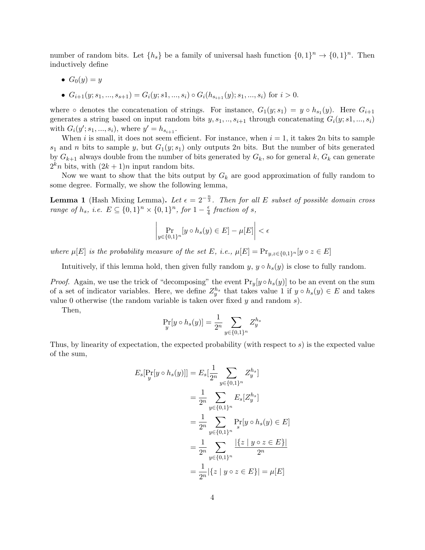number of random bits. Let  $\{h_s\}$  be a family of universal hash function  $\{0,1\}^n \to \{0,1\}^n$ . Then inductively define

•  $G_0(y) = y$ 

• 
$$
G_{i+1}(y; s_1, ..., s_{s+1}) = G_i(y; s_1, ..., s_i) \circ G_i(h_{s_{i+1}}(y); s_1, ..., s_i)
$$
 for  $i > 0$ .

where  $\circ$  denotes the concatenation of strings. For instance,  $G_1(y; s_1) = y \circ h_{s_1}(y)$ . Here  $G_{i+1}$ generates a string based on input random bits  $y, s_1, ..., s_{i+1}$  through concatenating  $G_i(y; s_1, ..., s_i)$ with  $G_i(y'; s_1, ..., s_i)$ , where  $y' = h_{s_{i+1}}$ .

When i is small, it does not seem efficient. For instance, when  $i = 1$ , it takes 2n bits to sample  $s_1$  and n bits to sample y, but  $G_1(y; s_1)$  only outputs  $2n$  bits. But the number of bits generated by  $G_{k+1}$  always double from the number of bits generated by  $G_k$ , so for general k,  $G_k$  can generate  $2^k n$  bits, with  $(2k+1)n$  input random bits.

Now we want to show that the bits output by  $G_k$  are good approximation of fully random to some degree. Formally, we show the following lemma,

**Lemma 1** (Hash Mixing Lemma). Let  $\epsilon = 2^{-\frac{n}{3}}$ . Then for all E subset of possible domain cross range of  $h_s$ , i.e.  $E \subseteq \{0,1\}^n \times \{0,1\}^n$ , for  $1-\frac{e}{4}$  $\frac{\epsilon}{4}$  fraction of s,

$$
\left| \Pr_{y \in \{0,1\}^n} [y \circ h_s(y) \in E] - \mu[E] \right| < \epsilon
$$

where  $\mu[E]$  is the probability measure of the set E, i.e.,  $\mu[E] = Pr_{y,z \in \{0,1\}^n}[y \circ z \in E]$ 

Intuitively, if this lemma hold, then given fully random  $y, y \circ h_s(y)$  is close to fully random.

*Proof.* Again, we use the trick of "decomposing" the event  $Pr_y[y \circ h_s(y)]$  to be an event on the sum of a set of indicator variables. Here, we define  $Z_y^{h_s}$  that takes value 1 if  $y \circ h_s(y) \in E$  and takes value 0 otherwise (the random variable is taken over fixed  $y$  and random  $s$ ).

Then,

$$
\Pr_{y}[y \circ h_s(y)] = \frac{1}{2^n} \sum_{y \in \{0,1\}^n} Z_y^{h_s}
$$

Thus, by linearity of expectation, the expected probability (with respect to s) is the expected value of the sum,

$$
E_s[\Pr_y[y \circ h_s(y)]] = E_s[\frac{1}{2^n} \sum_{y \in \{0,1\}^n} Z_y^{h_s}]
$$
  
=  $\frac{1}{2^n} \sum_{y \in \{0,1\}^n} E_s[Z_y^{h_s}]$   
=  $\frac{1}{2^n} \sum_{y \in \{0,1\}^n} \Pr_y[y \circ h_s(y) \in E]$   
=  $\frac{1}{2^n} \sum_{y \in \{0,1\}^n} \frac{|\{z \mid y \circ z \in E\}|}{2^n}$   
=  $\frac{1}{2^n} |\{z \mid y \circ z \in E\}| = \mu[E]$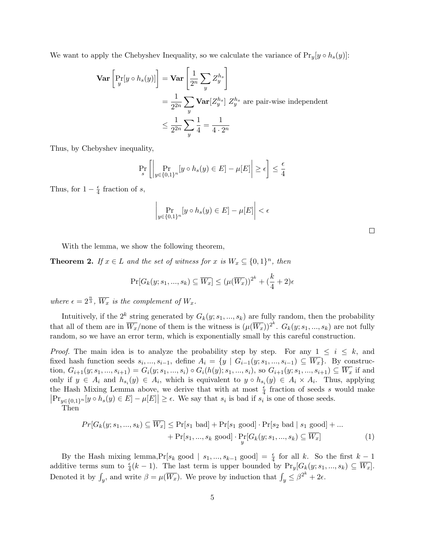We want to apply the Chebyshev Inequality, so we calculate the variance of  $Pr_y[y \circ h_s(y)]$ :

$$
\begin{aligned} \mathbf{Var}\left[\Pr_y[y \circ h_s(y)]\right] &= \mathbf{Var}\left[\frac{1}{2^n} \sum_y Z_y^{h_s}\right] \\ &= \frac{1}{2^{2n}} \sum_y \mathbf{Var}[Z_y^{h_s}] \ Z_y^{h_s} \text{ are pair-wise independent} \\ &\le \frac{1}{2^{2n}} \sum_y \frac{1}{4} = \frac{1}{4 \cdot 2^n} \end{aligned}
$$

Thus, by Chebyshev inequality,

$$
\Pr_{s} \left[ \left| \Pr_{y \in \{0,1\}^n} [y \circ h_s(y) \in E] - \mu[E] \right| \ge \epsilon \right] \le \frac{\epsilon}{4}
$$

Thus, for  $1 - \frac{\epsilon}{4}$  $rac{\epsilon}{4}$  fraction of s,

$$
\left| \Pr_{y \in \{0,1\}^n} [y \circ h_s(y) \in E] - \mu[E] \right| < \epsilon
$$

With the lemma, we show the following theorem,

**Theorem 2.** If  $x \in L$  and the set of witness for x is  $W_x \subseteq \{0,1\}^n$ , then

$$
\Pr[G_k(y; s_1, ..., s_k) \subseteq \overline{W_x}] \le (\mu(\overline{W_x}))^{2^k} + (\frac{k}{4} + 2)\epsilon
$$

where  $\epsilon = 2^{\frac{n}{3}}$ ,  $\overline{W_x}$  is the complement of  $W_x$ .

Intuitively, if the  $2^k$  string generated by  $G_k(y; s_1, ..., s_k)$  are fully random, then the probability that all of them are in  $\overline{W_x}$ /none of them is the witness is  $(\mu(\overline{W_x}))^{2^k}$ .  $G_k(y; s_1, ..., s_k)$  are not fully random, so we have an error term, which is exponentially small by this careful construction.

*Proof.* The main idea is to analyze the probability step by step. For any  $1 \leq i \leq k$ , and fixed hash function seeds  $s_i, ..., s_{i-1}$ , define  $A_i = \{y \mid G_{i-1}(y; s_1, ..., s_{i-1}) \subseteq \overline{W_x}\}$ . By construction,  $G_{i+1}(y; s_1, ..., s_{i+1}) = G_i(y; s_1, ..., s_i) \circ G_i(h(y); s_1, ..., s_i)$ , so  $G_{i+1}(y; s_1, ..., s_{i+1}) \subseteq \overline{W_x}$  if and only if  $y \in A_i$  and  $h_{s_i}(y) \in A_i$ , which is equivalent to  $y \circ h_{s_i}(y) \in A_i \times A_i$ . Thus, applying the Hash Mixing Lemma above, we derive that with at most  $\frac{\epsilon}{4}$  fraction of seeds s would make  $|\Pr_{y\in\{0,1\}^n}[y\circ h_s(y)\in E]-\mu[E]|\geq \epsilon$ . We say that  $s_i$  is bad if  $s_i$  is one of those seeds.

Then

$$
Pr[G_k(y; s_1, ..., s_k) \subseteq \overline{W_x}] \le Pr[s_1 \text{ bad}] + Pr[s_1 \text{ good}] \cdot Pr[s_2 \text{ bad} \mid s_1 \text{ good}] + ... + Pr[s_1, ..., s_k \text{ good}] \cdot Pr[G_k(y; s_1, ..., s_k) \subseteq \overline{W_x}]
$$
\n
$$
(1)
$$

By the Hash mixing lemma,  $Pr[s_k \text{ good} | s_1, ..., s_{k-1} \text{ good}] = \frac{\epsilon}{4}$  for all k. So the first  $k-1$ additive terms sum to  $\frac{\epsilon}{4}(k-1)$ . The last term is upper bounded by  $Pr_y[G_k(y; s_1, ..., s_k) \subseteq \overline{W_x}]$ . Denoted it by  $\int_y$ , and write  $\beta = \mu(\overline{W_x})$ . We prove by induction that  $\int_y \leq \beta^{2^k} + 2\epsilon$ .